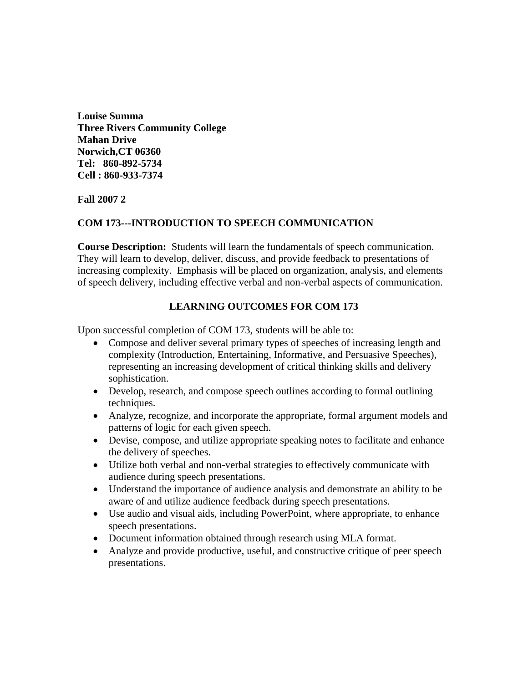**Louise Summa Three Rivers Community College Mahan Drive Norwich,CT 06360 Tel: 860-892-5734 Cell : 860-933-7374**

# **Fall 2007 2**

## **COM 173---INTRODUCTION TO SPEECH COMMUNICATION**

**Course Description:** Students will learn the fundamentals of speech communication. They will learn to develop, deliver, discuss, and provide feedback to presentations of increasing complexity. Emphasis will be placed on organization, analysis, and elements of speech delivery, including effective verbal and non-verbal aspects of communication.

# **LEARNING OUTCOMES FOR COM 173**

Upon successful completion of COM 173, students will be able to:

- Compose and deliver several primary types of speeches of increasing length and complexity (Introduction, Entertaining, Informative, and Persuasive Speeches), representing an increasing development of critical thinking skills and delivery sophistication.
- Develop, research, and compose speech outlines according to formal outlining techniques.
- Analyze, recognize, and incorporate the appropriate, formal argument models and patterns of logic for each given speech.
- Devise, compose, and utilize appropriate speaking notes to facilitate and enhance the delivery of speeches.
- Utilize both verbal and non-verbal strategies to effectively communicate with audience during speech presentations.
- Understand the importance of audience analysis and demonstrate an ability to be aware of and utilize audience feedback during speech presentations.
- Use audio and visual aids, including PowerPoint, where appropriate, to enhance speech presentations.
- Document information obtained through research using MLA format.
- Analyze and provide productive, useful, and constructive critique of peer speech presentations.